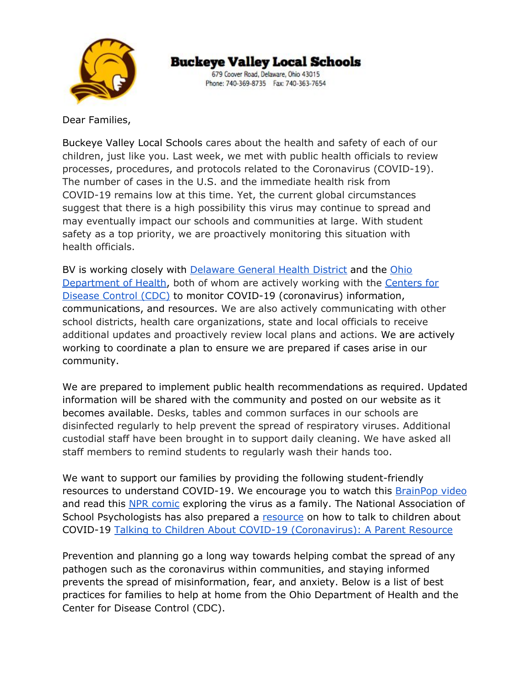

679 Coover Road, Delaware, Ohio 43015 Phone: 740-369-8735 Fax: 740-363-7654

Dear Families,

Buckeye Valley Local Schools cares about the health and safety of each of our children, just like you. Last week, we met with public health officials to review processes, procedures, and protocols related to the Coronavirus (COVID-19). The number of cases in the U.S. and the immediate health risk from COVID-19 remains low at this time. Yet, the current global circumstances suggest that there is a high possibility this virus may continue to spread and may eventually impact our schools and communities at large. With student safety as a top priority, we are proactively monitoring this situation with health officials.

BV is working closely with [Delaware](https://delawarehealth.org/) General Health District and the [Ohio](https://odh.ohio.gov/wps/portal/gov/odh/home) [Department](https://odh.ohio.gov/wps/portal/gov/odh/home) of Health, both of whom are actively working with the [Centers](https://www.cdc.gov/) for [Disease](https://www.cdc.gov/) Control (CDC) to monitor COVID-19 (coronavirus) information, communications, and resources. We are also actively communicating with other school districts, health care organizations, state and local officials to receive additional updates and proactively review local plans and actions. We are actively working to coordinate a plan to ensure we are prepared if cases arise in our community.

We are prepared to implement public health recommendations as required. Updated information will be shared with the community and posted on our website as it becomes available. Desks, tables and common surfaces in our schools are disinfected regularly to help prevent the spread of respiratory viruses. Additional custodial staff have been brought in to support daily cleaning. We have asked all staff members to remind students to regularly wash their hands too.

We want to support our families by providing the following student-friendly resources to understand COVID-19. We encourage you to watch this **[BrainPop](https://www.brainpop.com/health/diseasesinjuriesandconditions/coronavirus/) video** and read this NPR [comic](https://www.npr.org/sections/goatsandsoda/2020/02/28/809580453/just-for-kids-a-comic-exploring-the-new-coronavirus) exploring the virus as a family. The National Association of School Psychologists has also prepared a [resource](https://storage.googleapis.com/pt05-2/messages/attachments/085b1d56492a336b16d04bc88cf0202cfe7c16b3/COVID-19_parent_handout_NASP_NASN_2-20_FINAL.pdf) on how to talk to children about COVID-19 Talking to Children About COVID-19 [\(Coronavirus\):](https://www.nasponline.org/resources-and-publications/resources-and-podcasts/school-climate-safety-and-crisis/health-crisis-resources/talking-to-children-about-covid-19-(coronavirus)-a-parent-resource) A Parent Resource

Prevention and planning go a long way towards helping combat the spread of any pathogen such as the coronavirus within communities, and staying informed prevents the spread of misinformation, fear, and anxiety. Below is a list of best practices for families to help at home from the Ohio Department of Health and the Center for Disease Control (CDC).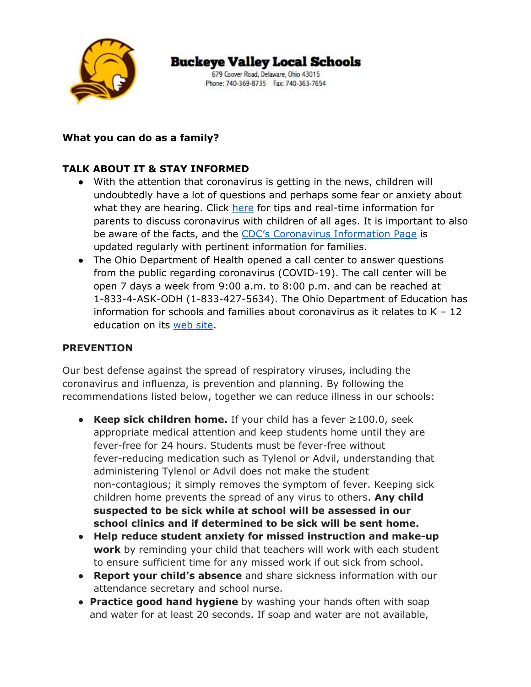

679 Coover Road, Delaware, Ohio 43015 Phone: 740-369-8735 Fax: 740-363-7654

### **What you can do as a family?**

### **TALK ABOUT IT & STAY INFORMED**

- With the attention that coronavirus is getting in the news, children will undoubtedly have a lot of questions and perhaps some fear or anxiety about what they are hearing. Click [here](https://www.health.harvard.edu/blog/how-to-talk-to-children-about-the-coronavirus-2020030719111) for tips and real-time information for parents to discuss coronavirus with children of all ages. It is important to also be aware of the facts, and the CDC's [Coronavirus](https://www.cdc.gov/coronavirus/2019-ncov/about/index.html) Information Page is updated regularly with pertinent information for families.
- The Ohio Department of Health opened a call center to answer questions from the public regarding coronavirus (COVID-19). The call center will be open 7 days a week from 9:00 a.m. to 8:00 p.m. and can be reached at 1-833-4-ASK-ODH (1-833-427-5634). The Ohio Department of Education has information for schools and families about coronavirus as it relates to  $K - 12$ education on its [web](http://education.ohio.gov/Topics/Student-Supports/Coronavirus-COVID-19-FREQUENTLY-ASKED-QUESTION-1) site.

#### **PREVENTION**

Our best defense against the spread of respiratory viruses, including the coronavirus and influenza, is prevention and planning. By following the recommendations listed below, together we can reduce illness in our schools:

- **Keep sick children home.** If your child has a fever ≥100.0, seek appropriate medical attention and keep students home until they are fever-free for 24 hours. Students must be fever-free without fever-reducing medication such as Tylenol or Advil, understanding that administering Tylenol or Advil does not make the student non-contagious; it simply removes the symptom of fever. Keeping sick children home prevents the spread of any virus to others. **Any child suspected to be sick while at school will be assessed in our school clinics and if determined to be sick will be sent home.**
- **Help reduce student anxiety for missed instruction and make-up work** by reminding your child that teachers will work with each student to ensure sufficient time for any missed work if out sick from school.
- **Report your child's absence** and share sickness information with our attendance secretary and school nurse.
- **Practice good hand hygiene** by washing your hands often with soap and water for at least 20 seconds. If soap and water are not available,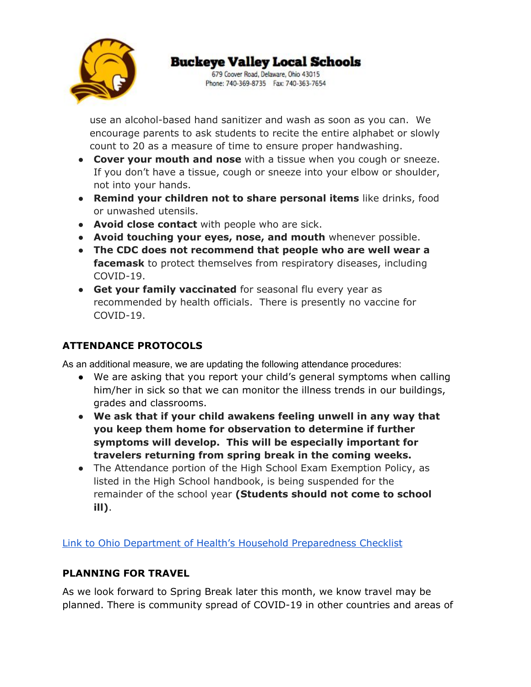

679 Coover Road, Delaware, Ohio 43015 Phone: 740-369-8735 Fax: 740-363-7654

use an alcohol-based hand sanitizer and wash as soon as you can. We encourage parents to ask students to recite the entire alphabet or slowly count to 20 as a measure of time to ensure proper handwashing.

- **Cover your mouth and nose** with a tissue when you cough or sneeze. If you don't have a tissue, cough or sneeze into your elbow or shoulder, not into your hands.
- **Remind your children not to share personal items** like drinks, food or unwashed utensils.
- **Avoid close contact** with people who are sick.
- **Avoid touching your eyes, nose, and mouth** whenever possible.
- **The CDC does not recommend that people who are well wear a facemask** to protect themselves from respiratory diseases, including COVID-19.
- **Get your family vaccinated** for seasonal flu every year as recommended by health officials. There is presently no vaccine for COVID-19.

# **ATTENDANCE PROTOCOLS**

As an additional measure, we are updating the following attendance procedures:

- We are asking that you report your child's general symptoms when calling him/her in sick so that we can monitor the illness trends in our buildings, grades and classrooms.
- **● We ask that if your child awakens feeling unwell in any way that you keep them home for observation to determine if further symptoms will develop. This will be especially important for travelers returning from spring break in the coming weeks.**
- The Attendance portion of the High School Exam Exemption Policy, as listed in the High School handbook, is being suspended for the remainder of the school year **(Students should not come to school ill)**.

Link to Ohio Department of Health's Household [Preparedness](https://coronavirus.ohio.gov/wps/wcm/connect/gov/c5ef86dc-2b02-4f0b-a794-3649a8d78f1d/COVID-19+checklist+03-02-20.pdf?MOD=AJPERES&CONVERT_TO=url&CACHEID=ROOTWORKSPACE.Z18_M1HGGIK0N0JO00QO9DDDDM3000-c5ef86dc-2b02-4f0b-a794-3649a8d78f1d-n31-FRT) Checklist

# **PLANNING FOR TRAVEL**

As we look forward to Spring Break later this month, we know travel may be planned. There is community spread of COVID-19 in other countries and areas of